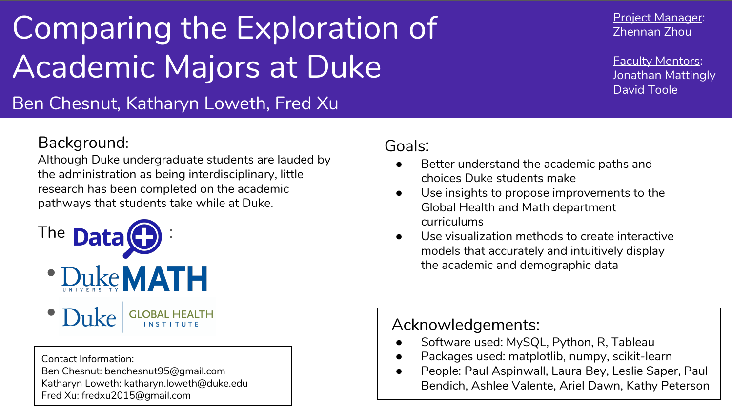# Comparing the Exploration of Academic Majors at Duke

Ben Chesnut, Katharyn Loweth, Fred Xu

### Background:

Although Duke undergraduate students are lauded by the administration as being interdisciplinary, little research has been completed on the academic pathways that students take while at Duke.



- · Duke MATH
- **Duke** GLOBAL HEALTH

Contact Information: Ben Chesnut: benchesnut95@gmail.com Katharyn Loweth: katharyn.loweth@duke.edu Fred Xu: fredxu2015@gmail.com

#### Goals:

- Better understand the academic paths and choices Duke students make
- Use insights to propose improvements to the Global Health and Math department curriculums
- Use visualization methods to create interactive models that accurately and intuitively display the academic and demographic data

### Acknowledgements:

- Software used: MySQL, Python, R, Tableau
- Packages used: matplotlib, numpy, scikit-learn
- People: Paul Aspinwall, Laura Bey, Leslie Saper, Paul Bendich, Ashlee Valente, Ariel Dawn, Kathy Peterson

Project Manager: Zhennan Zhou

Faculty Mentors: Jonathan Mattingly David Toole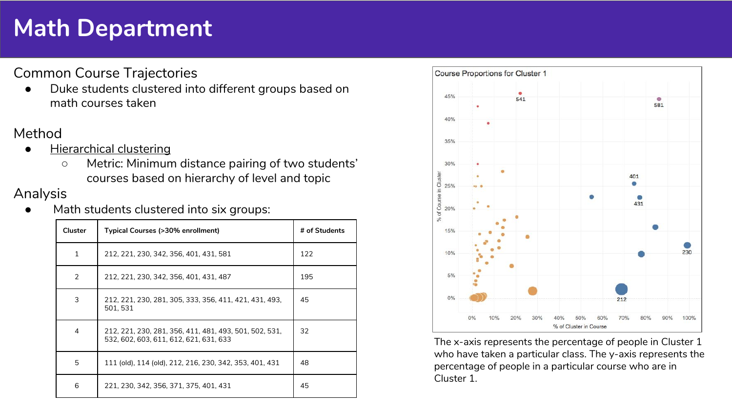## **Math Department**

Common Course Trajectories

Duke students clustered into different groups based on math courses taken

#### Method

- **Hierarchical clustering** 
	- Metric: Minimum distance pairing of two students' courses based on hierarchy of level and topic

#### Analysis

Math students clustered into six groups:

| <b>Cluster</b> | Typical Courses (>30% enrollment)                                                                | # of Students |
|----------------|--------------------------------------------------------------------------------------------------|---------------|
| 1              | 212, 221, 230, 342, 356, 401, 431, 581                                                           | 122           |
| 2              | 212, 221, 230, 342, 356, 401, 431, 487                                                           | 195           |
| 3              | 212, 221, 230, 281, 305, 333, 356, 411, 421, 431, 493,<br>501.531                                | 45            |
| 4              | 212, 221, 230, 281, 356, 411, 481, 493, 501, 502, 531,<br>532, 602, 603, 611, 612, 621, 631, 633 | 32            |
| 5              | 111 (old), 114 (old), 212, 216, 230, 342, 353, 401, 431                                          | 48            |
| 6              | 221, 230, 342, 356, 371, 375, 401, 431                                                           | 45            |



The x-axis represents the percentage of people in Cluster 1 who have taken a particular class. The y-axis represents the percentage of people in a particular course who are in Cluster 1.